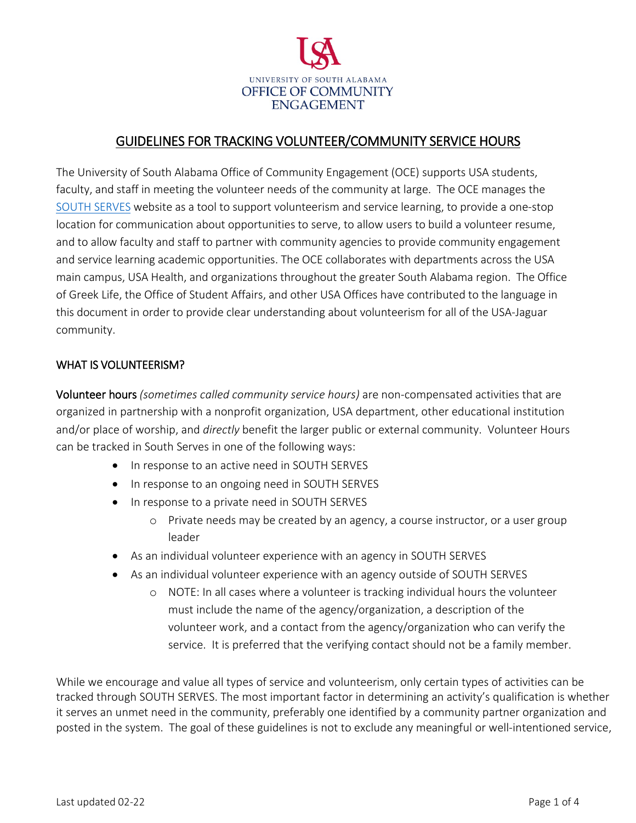

## GUIDELINES FOR TRACKING VOLUNTEER/COMMUNITY SERVICE HOURS

The University of South Alabama Office of Community Engagement (OCE) supports USA students, faculty, and staff in meeting the volunteer needs of the community at large. The OCE manages the [SOUTH SERVES](http://southserves.southalabama.edu/) website as a tool to support volunteerism and service learning, to provide a one-stop location for communication about opportunities to serve, to allow users to build a volunteer resume, and to allow faculty and staff to partner with community agencies to provide community engagement and service learning academic opportunities. The OCE collaborates with departments across the USA main campus, USA Health, and organizations throughout the greater South Alabama region. The Office of Greek Life, the Office of Student Affairs, and other USA Offices have contributed to the language in this document in order to provide clear understanding about volunteerism for all of the USA-Jaguar community.

#### WHAT IS VOLUNTEERISM?

Volunteer hours *(sometimes called community service hours)* are non-compensated activities that are organized in partnership with a nonprofit organization, USA department, other educational institution and/or place of worship, and *directly* benefit the larger public or external community. Volunteer Hours can be tracked in South Serves in one of the following ways:

- In response to an active need in SOUTH SERVES
- In response to an ongoing need in SOUTH SERVES
- In response to a private need in SOUTH SERVES
	- o Private needs may be created by an agency, a course instructor, or a user group leader
- As an individual volunteer experience with an agency in SOUTH SERVES
- As an individual volunteer experience with an agency outside of SOUTH SERVES
	- o NOTE: In all cases where a volunteer is tracking individual hours the volunteer must include the name of the agency/organization, a description of the volunteer work, and a contact from the agency/organization who can verify the service. It is preferred that the verifying contact should not be a family member.

While we encourage and value all types of service and volunteerism, only certain types of activities can be tracked through SOUTH SERVES. The most important factor in determining an activity's qualification is whether it serves an unmet need in the community, preferably one identified by a community partner organization and posted in the system. The goal of these guidelines is not to exclude any meaningful or well-intentioned service,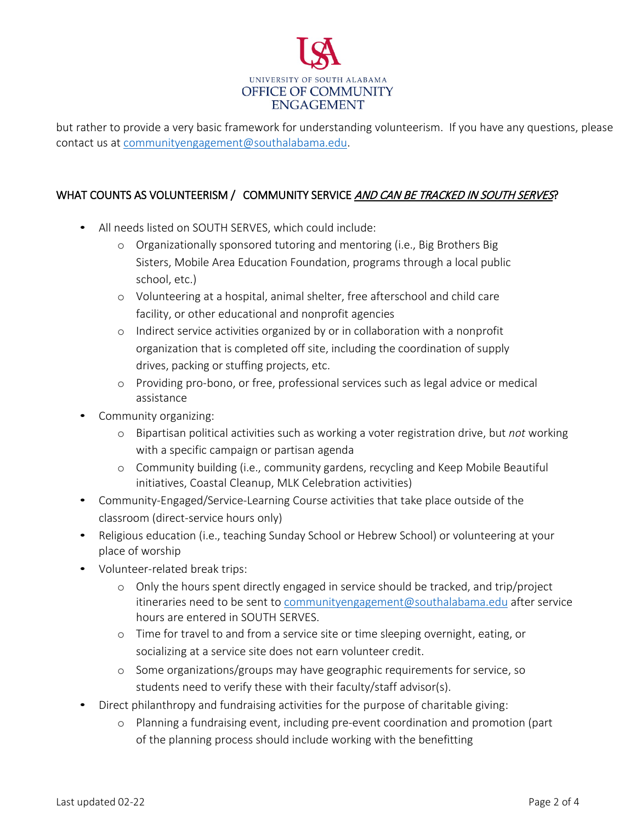

but rather to provide a very basic framework for understanding volunteerism. If you have any questions, please contact us at [communityengagement@southalabama.edu.](mailto:communityengagement@southalabama.edu)

### WHAT COUNTS AS VOLUNTEERISM / COMMUNITY SERVICE AND CAN BE TRACKED IN SOUTH SERVES?

- All needs listed on SOUTH SERVES, which could include:
	- o Organizationally sponsored tutoring and mentoring (i.e., Big Brothers Big Sisters, Mobile Area Education Foundation, programs through a local public school, etc.)
	- o Volunteering at a hospital, animal shelter, free afterschool and child care facility, or other educational and nonprofit agencies
	- o Indirect service activities organized by or in collaboration with a nonprofit organization that is completed off site, including the coordination of supply drives, packing or stuffing projects, etc.
	- o Providing pro-bono, or free, professional services such as legal advice or medical assistance
- Community organizing:
	- o Bipartisan political activities such as working a voter registration drive, but *not* working with a specific campaign or partisan agenda
	- o Community building (i.e., community gardens, recycling and Keep Mobile Beautiful initiatives, Coastal Cleanup, MLK Celebration activities)
- Community-Engaged/Service-Learning Course activities that take place outside of the classroom (direct-service hours only)
- Religious education (i.e., teaching Sunday School or Hebrew School) or volunteering at your place of worship
- Volunteer-related break trips:
	- o Only the hours spent directly engaged in service should be tracked, and trip/project itineraries need to be sent to [communityengagement@southalabama.edu](mailto:communityengagement@southalabama.edu) after service hours are entered in SOUTH SERVES.
	- o Time for travel to and from a service site or time sleeping overnight, eating, or socializing at a service site does not earn volunteer credit.
	- o Some organizations/groups may have geographic requirements for service, so students need to verify these with their faculty/staff advisor(s).
- Direct philanthropy and fundraising activities for the purpose of charitable giving:
	- o Planning a fundraising event, including pre-event coordination and promotion (part of the planning process should include working with the benefitting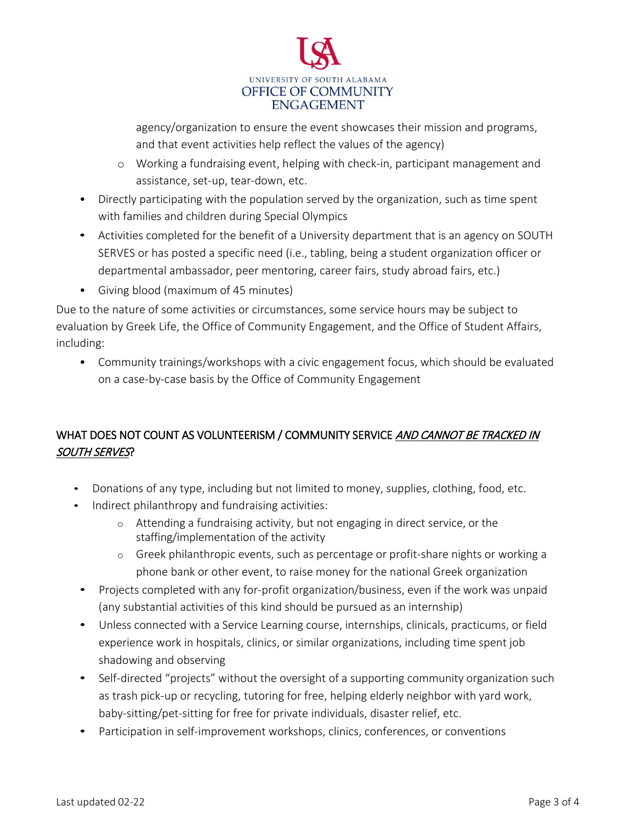

agency/organization to ensure the event showcases their mission and programs, and that event activities help reflect the values of the agency)

- o Working a fundraising event, helping with check-in, participant management and assistance, set-up, tear-down, etc.
- Directly participating with the population served by the organization, such as time spent with families and children during Special Olympics
- Activities completed for the benefit of a University department that is an agency on SOUTH SERVES or has posted a specific need (i.e., tabling, being a student organization officer or departmental ambassador, peer mentoring, career fairs, study abroad fairs, etc.)
- Giving blood (maximum of 45 minutes)

Due to the nature of some activities or circumstances, some service hours may be subject to evaluation by Greek Life, the Office of Community Engagement, and the Office of Student Affairs, including:

• Community trainings/workshops with a civic engagement focus, which should be evaluated on a case-by-case basis by the Office of Community Engagement

# WHAT DOES NOT COUNT AS VOLUNTEERISM / COMMUNITY SERVICE AND CANNOT BE TRACKED IN SOUTH SERVES?

- Donations of any type, including but not limited to money, supplies, clothing, food, etc.
- Indirect philanthropy and fundraising activities:
	- o Attending a fundraising activity, but not engaging in direct service, or the staffing/implementation of the activity
	- o Greek philanthropic events, such as percentage or profit-share nights or working a phone bank or other event, to raise money for the national Greek organization
- Projects completed with any for-profit organization/business, even if the work was unpaid (any substantial activities of this kind should be pursued as an internship)
- Unless connected with a Service Learning course, internships, clinicals, practicums, or field experience work in hospitals, clinics, or similar organizations, including time spent job shadowing and observing
- Self-directed "projects" without the oversight of a supporting community organization such as trash pick-up or recycling, tutoring for free, helping elderly neighbor with yard work, baby-sitting/pet-sitting for free for private individuals, disaster relief, etc.
- Participation in self-improvement workshops, clinics, conferences, or conventions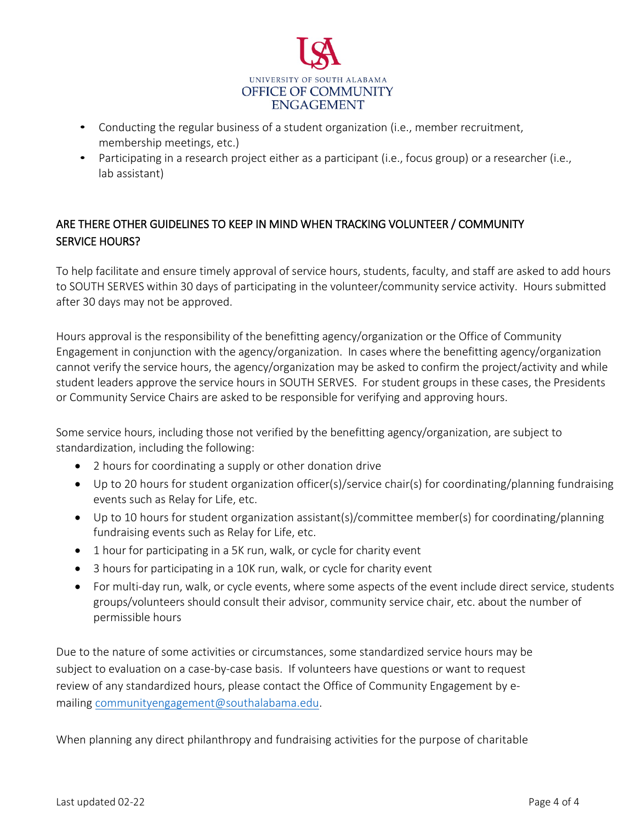

- Conducting the regular business of a student organization (i.e., member recruitment, membership meetings, etc.)
- Participating in a research project either as a participant (i.e., focus group) or a researcher (i.e., lab assistant)

# ARE THERE OTHER GUIDELINES TO KEEP IN MIND WHEN TRACKING VOLUNTEER / COMMUNITY SERVICE HOURS?

To help facilitate and ensure timely approval of service hours, students, faculty, and staff are asked to add hours to SOUTH SERVES within 30 days of participating in the volunteer/community service activity. Hours submitted after 30 days may not be approved.

Hours approval is the responsibility of the benefitting agency/organization or the Office of Community Engagement in conjunction with the agency/organization. In cases where the benefitting agency/organization cannot verify the service hours, the agency/organization may be asked to confirm the project/activity and while student leaders approve the service hours in SOUTH SERVES. For student groups in these cases, the Presidents or Community Service Chairs are asked to be responsible for verifying and approving hours.

Some service hours, including those not verified by the benefitting agency/organization, are subject to standardization, including the following:

- 2 hours for coordinating a supply or other donation drive
- Up to 20 hours for student organization officer(s)/service chair(s) for coordinating/planning fundraising events such as Relay for Life, etc.
- Up to 10 hours for student organization assistant(s)/committee member(s) for coordinating/planning fundraising events such as Relay for Life, etc.
- 1 hour for participating in a 5K run, walk, or cycle for charity event
- 3 hours for participating in a 10K run, walk, or cycle for charity event
- For multi-day run, walk, or cycle events, where some aspects of the event include direct service, students groups/volunteers should consult their advisor, community service chair, etc. about the number of permissible hours

Due to the nature of some activities or circumstances, some standardized service hours may be subject to evaluation on a case-by-case basis. If volunteers have questions or want to request review of any standardized hours, please contact the Office of Community Engagement by emailing [communityengagement@southalabama.edu.](mailto:communityengagement@southalabama.edu)

When planning any direct philanthropy and fundraising activities for the purpose of charitable